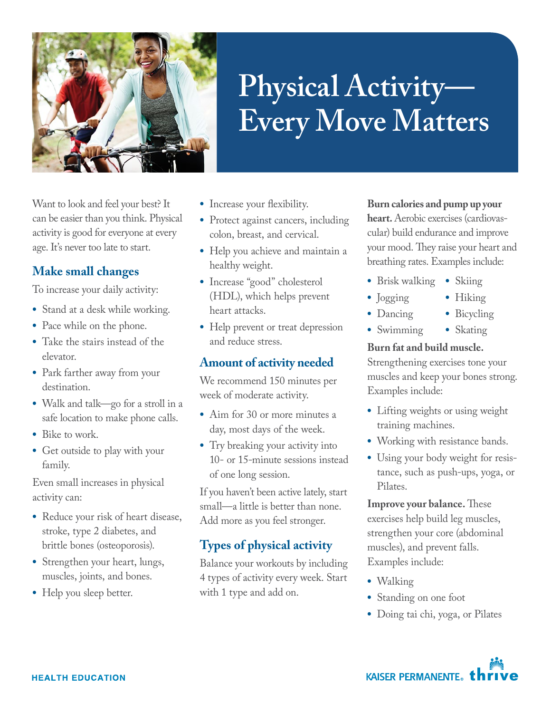

# **Physical Activity— Every Move Matters**

Want to look and feel your best? It can be easier than you think. Physical activity is good for everyone at every age. It's never too late to start.

# **Make small changes**

To increase your daily activity:

- **•** Stand at a desk while working.
- **•** Pace while on the phone.
- **•** Take the stairs instead of the elevator.
- **•** Park farther away from your destination.
- **•** Walk and talk—go for a stroll in a safe location to make phone calls.
- **•** Bike to work.
- **•** Get outside to play with your family.

Even small increases in physical activity can:

- **•** Reduce your risk of heart disease, stroke, type 2 diabetes, and brittle bones (osteoporosis).
- **•** Strengthen your heart, lungs, muscles, joints, and bones.
- **•** Help you sleep better.
- **•** Increase your flexibility.
- **•** Protect against cancers, including colon, breast, and cervical.
- **•** Help you achieve and maintain a healthy weight.
- **•** Increase "good" cholesterol (HDL), which helps prevent heart attacks.
- **•** Help prevent or treat depression and reduce stress.

# **Amount of activity needed**

We recommend 150 minutes per week of moderate activity.

- **•** Aim for 30 or more minutes a day, most days of the week.
- **•** Try breaking your activity into 10- or 15-minute sessions instead of one long session.

If you haven't been active lately, start small—a little is better than none. Add more as you feel stronger.

# **Types of physical activity**

Balance your workouts by including 4 types of activity every week. Start with 1 type and add on.

### **Burn calories and pump up your**

**heart.** Aerobic exercises (cardiovascular) build endurance and improve your mood. They raise your heart and breathing rates. Examples include:

- **•** Brisk walking **•** Skiing
- **•** Jogging
- **•** Hiking **•** Bicycling
- **•** Dancing
- **•** Swimming **•** Skating

#### **Burn fat and build muscle.**

Strengthening exercises tone your muscles and keep your bones strong. Examples include:

- **•** Lifting weights or using weight training machines.
- **•** Working with resistance bands.
- **•** Using your body weight for resistance, such as push-ups, yoga, or Pilates.

**Improve your balance.** These exercises help build leg muscles, strengthen your core (abdominal muscles), and prevent falls. Examples include:

- **•** Walking
- **•** Standing on one foot
- **•** Doing tai chi, yoga, or Pilates